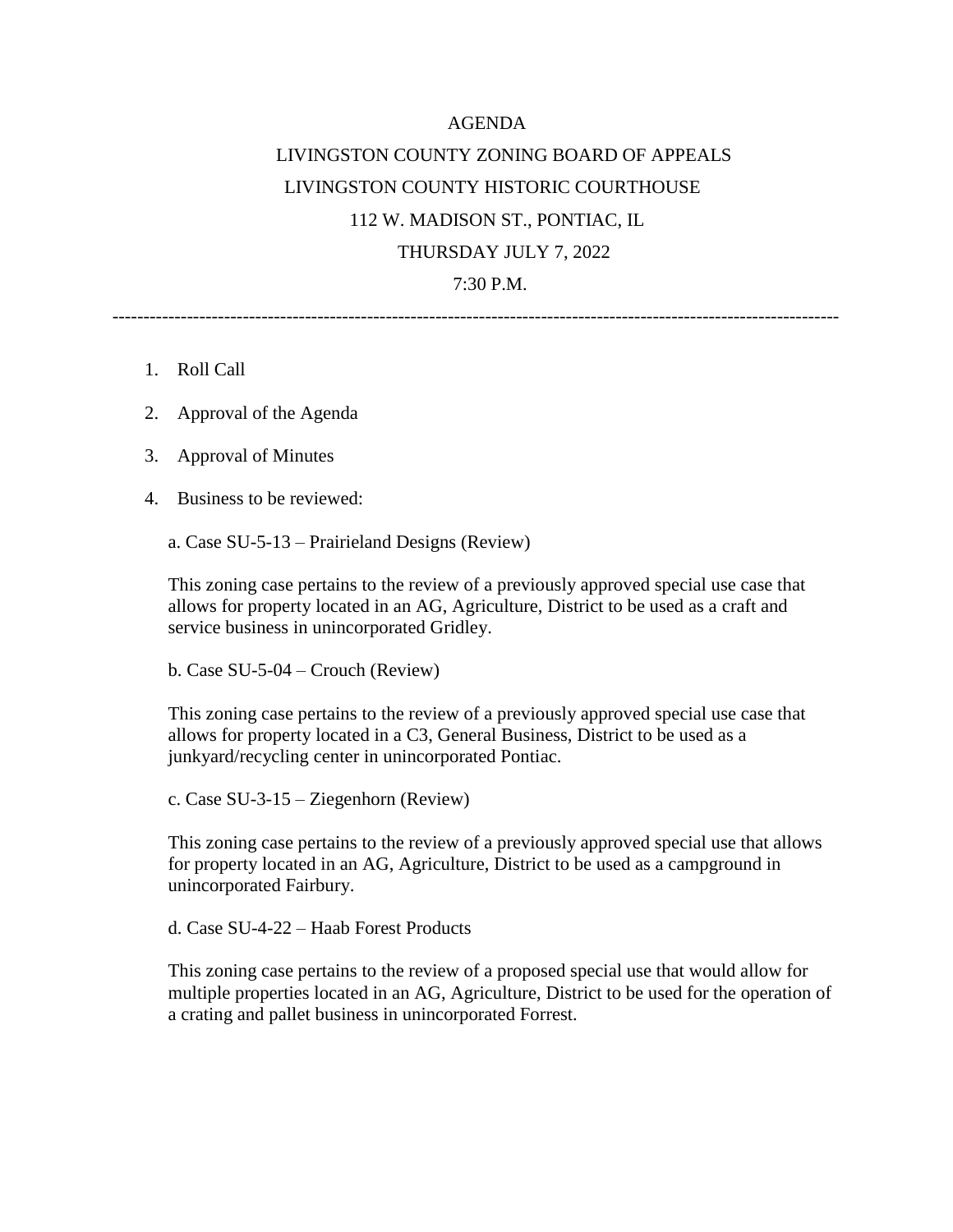## AGENDA LIVINGSTON COUNTY ZONING BOARD OF APPEALS LIVINGSTON COUNTY HISTORIC COURTHOUSE 112 W. MADISON ST., PONTIAC, IL THURSDAY JULY 7, 2022 7:30 P.M.

---------------------------------------------------------------------------------------------------------------------

- 1. Roll Call
- 2. Approval of the Agenda
- 3. Approval of Minutes
- 4. Business to be reviewed:

a. Case SU-5-13 – Prairieland Designs (Review)

This zoning case pertains to the review of a previously approved special use case that allows for property located in an AG, Agriculture, District to be used as a craft and service business in unincorporated Gridley.

b. Case SU-5-04 – Crouch (Review)

This zoning case pertains to the review of a previously approved special use case that allows for property located in a C3, General Business, District to be used as a junkyard/recycling center in unincorporated Pontiac.

c. Case SU-3-15 – Ziegenhorn (Review)

This zoning case pertains to the review of a previously approved special use that allows for property located in an AG, Agriculture, District to be used as a campground in unincorporated Fairbury.

d. Case SU-4-22 – Haab Forest Products

This zoning case pertains to the review of a proposed special use that would allow for multiple properties located in an AG, Agriculture, District to be used for the operation of a crating and pallet business in unincorporated Forrest.